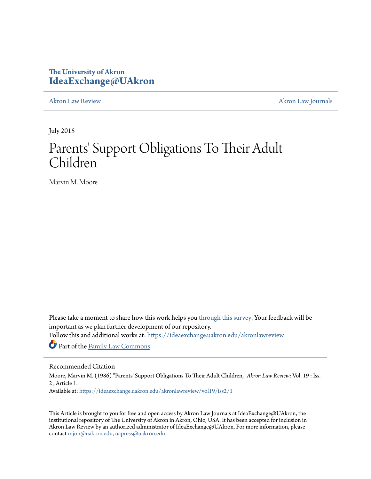# **The University of Akron [IdeaExchange@UAkron](https://ideaexchange.uakron.edu?utm_source=ideaexchange.uakron.edu%2Fakronlawreview%2Fvol19%2Fiss2%2F1&utm_medium=PDF&utm_campaign=PDFCoverPages)**

[Akron Law Review](https://ideaexchange.uakron.edu/akronlawreview?utm_source=ideaexchange.uakron.edu%2Fakronlawreview%2Fvol19%2Fiss2%2F1&utm_medium=PDF&utm_campaign=PDFCoverPages) [Akron Law Journals](https://ideaexchange.uakron.edu/akronlawjournals?utm_source=ideaexchange.uakron.edu%2Fakronlawreview%2Fvol19%2Fiss2%2F1&utm_medium=PDF&utm_campaign=PDFCoverPages)

July 2015

# Parents' Support Obligations To Their Adult Children

Marvin M. Moore

Please take a moment to share how this work helps you [through this survey.](http://survey.az1.qualtrics.com/SE/?SID=SV_eEVH54oiCbOw05f&URL=https://ideaexchange.uakron.edu/akronlawreview/vol19/iss2/1) Your feedback will be important as we plan further development of our repository.

Follow this and additional works at: [https://ideaexchange.uakron.edu/akronlawreview](https://ideaexchange.uakron.edu/akronlawreview?utm_source=ideaexchange.uakron.edu%2Fakronlawreview%2Fvol19%2Fiss2%2F1&utm_medium=PDF&utm_campaign=PDFCoverPages)

Part of the [Family Law Commons](http://network.bepress.com/hgg/discipline/602?utm_source=ideaexchange.uakron.edu%2Fakronlawreview%2Fvol19%2Fiss2%2F1&utm_medium=PDF&utm_campaign=PDFCoverPages)

## Recommended Citation

Moore, Marvin M. (1986) "Parents' Support Obligations To Their Adult Children," *Akron Law Review*: Vol. 19 : Iss. 2 , Article 1.

Available at: [https://ideaexchange.uakron.edu/akronlawreview/vol19/iss2/1](https://ideaexchange.uakron.edu/akronlawreview/vol19/iss2/1?utm_source=ideaexchange.uakron.edu%2Fakronlawreview%2Fvol19%2Fiss2%2F1&utm_medium=PDF&utm_campaign=PDFCoverPages)

This Article is brought to you for free and open access by Akron Law Journals at IdeaExchange@UAkron, the institutional repository of The University of Akron in Akron, Ohio, USA. It has been accepted for inclusion in Akron Law Review by an authorized administrator of IdeaExchange@UAkron. For more information, please contact [mjon@uakron.edu, uapress@uakron.edu.](mailto:mjon@uakron.edu,%20uapress@uakron.edu)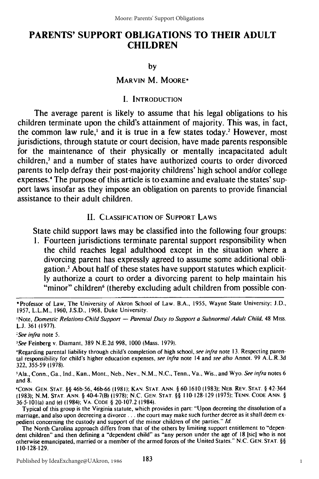## **PARENTS' SUPPORT OBLIGATIONS TO THEIR ADULT CHILDREN**

### **by**

## MARVIN M. MOORE\*

## **I. INTRODUCTION**

The average parent is likely to assume that his legal obligations to his children terminate upon the child's attainment of majority. This was, in fact, the common law rule,' and it is true in a few states today.' However, most jurisdictions, through statute or court decision, have made parents responsible for the maintenance of their physically or mentally incapacitated adult children,<sup>3</sup> and a number of states have authorized courts to order divorced parents to help defray their post-majority childrens' high school and/or college expenses." The purpose of this article is to examine and evaluate the states' support laws insofar as they impose an obligation on parents to provide financial assistance to their adult children.

## II. **CLASSIFICATION OF SUPPORT** LAWS

State child support laws may be classified into the following four groups:

**1.** Fourteen jurisdictions terminate parental support responsibility when the child reaches legal adulthood except in the situation where a divorcing parent has expressly agreed to assume some additional obligation.' About half of these states have support statutes which explicit**ly** authorize a court to order a divorcing parent to help maintain his "minor" children<sup>6</sup> (thereby excluding adult children from possible con-

\*Professor of Law, The University of Akron School of Law. B.A., 1955, Wayne State University; J.D., 1957, L.L.M., 1960, J.S.D., 1968, Duke University.

'Note, Domestic Relations-Child Support **-** Parental Duty to Support a Subnormal Adult Child. 48 Miss-**L.J.** 361 (1977).

*;See* infra note 5.

'See Feinberg v. Diamant, 389 N.E.2d 998, 1000 (Mass. 1979).

'Regarding parental liability through child's completion of high school, see infra note **13.** Respecting parental responsibility for child's higher education expenses, see infra note 14 and see also Annot. 99 A.L.R.3d 322, 355-59 (1978).

'Ala., Conn., Ga., Ind., Kan., Mont., Neb., Nev., **N.M.,** N.C., Tenn., Va., Wis., and Wyo. See infra notes 6 and 8.

**'CONN. GEN. STAT.** §§ 46b-56, 46b-66 (1981); **KAN. STAT. ANN.** § 60-1610 (1983); NEB. REV. **STAT.** § 42-364 (1983); N.M. **STAT. ANN.** § 40-4-7(B) (1978); N.C. **GEN. STAT** §§ 110- 128-129 (1975); **TENN. CODE ANN.** § 36-5-101(a) and (e) (1984); VA. **CODE** § 20-107.2 (1984).

Typical of this group is the Virginia statute, which provides in part: "Upon decreeing the dissolution of a marriage, and also upon decreeing a **divorce...** the court may make such further decree as it shall deem expedient concerning the custody and support of the minor children of the parties." **Id.**

The North Carolina approach differs from that of the others **by** limiting support entitlement to "dependent children" and then defining a "dependent child" as "any person under the age of 18 **[sicl** who is not otherwise emancipated, married or a member of the armed forces of the United States." N.C. **GEN. STAT.** §§ !10-128-129.

183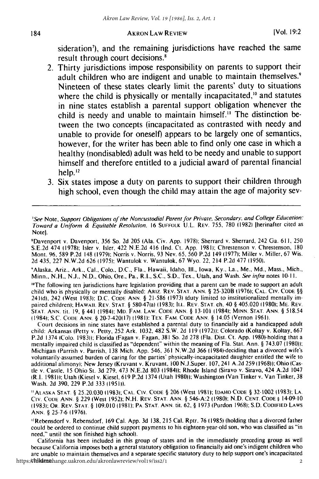sideration<sup>7</sup>), and the remaining jurisdictions have reached the same result through court decisions

- 2. Thirty jurisdictions impose responsibility on parents to support their adult children who are indigent and unable to maintain themselves.<sup>9</sup> Nineteen of these states clearly limit the parents' duty to situations where the child is physically or mentally incapacitated,<sup>10</sup> and statutes in nine states establish a parental support obligation whenever the child is needy and unable to maintain himself." The distinction between the two concepts (incapacitated as contrasted with needy and unable to provide for oneself) appears to be largely one of semantics, however, for the writer has been able to find only one case in which a healthy (nondisabled) adult was held to be needy and unable to support himself and therefore entitled to a judicial award of parental financial help.<sup>12</sup>
- **3.** Six states impose a duty on parents to support their children through high school, even though the child may attain the age of majority sev-

'See Note, Support Obligations of the Noncustodial Parent for Private. Secondary. and College Education: Toward a Uniform & Equitable Resolution. 16 SUFFOLK U.L. REV. 755, 780 (1982) [herinafter cited as Note].

'Davenport v. Davenport, 356 So. 2d 205 (Ala. Civ. App. 1978): Sherrard v. Sherrard, 242 Ga. 611, 250 S.E.2d 474 (1978); Isler v. Isler, 422 N.E.2d 416 (Ind. Ct. App. 1981); Chrestenson v. Chrestenson, 180 Mont. 96, 589 P.2d 148 **(1979),:** Norris v. Norris, 93 Nev. 65, 560 P.2d 149 (1977); Miller v. Miller, 67 Wis. 2d 435, 227 N.W.2d 626 (1975): Wantulok v. Wantulok, 67 Wyo. 22, 214 P.2d 477 (1950).

'Alaska, Ariz., Ark., Cal., Colo., D.C., Fla., Hawaii, Idaho, Ill., Iowa, Ky., La., Me., Md., Mass., Mich., Minn., N.H., N.J., **N.D.,** Ohio, Ore., Pa., R.I., S.C., S.D., Tex., Utah, and Wash. See infra notes **10-11.**

<sup>to</sup>The following ten jurisdictions have legislation providing that a parent can be made to support an adult child who is physically or mentally disabled: ARiz. REV. **STAT. ANN. §** 25-320B **(1976);** CAL. CIv. CODE **§§** 241(d), 242 (West 1983): D.C. CODE ANN. § 21-586 (1973) (duty limited to institutionalized mentally impaired children): HAWAIi. REV. **STAT.** § 580-47(a) (1983): ILL. REV. **STAT.** ch. 40 **§** 405.020 **(1980);** ME. REV. STAT. ANN. tit. **19,** § 441 (1984): MD. FAM. LAW. CODE ANN. § 13-101 (1984): **MINN.** STAT. **ANN.** § 518.54 (1984): S.C. **CODE** ANN. § 20-7-420(17) (1981): TEX. FAM. CODE **ANN.** § 14.05 (Vernon 1961).

Court decisions in nine states have established a parental duty to financially aid a handicapped adult child: Arkansas (Petty v. Petty, 252 Ark. 1032, 482 S.W. 2d 119 (1972)): Colorado (Koltay v. Koltay, 667 P.2d 1374 (Colo. 1983)): Florida (Fagan v. Fagan, 381 So. 2d 278 (Fla. Dist. Ct. App. 1980)-holding that a mentally impaired child is classified as "'dependent" within the meaning of Fla. Stat. Ann. **§** 743.07 (1980)): Michigan (Parrish v. Parrish, 138 Mich. App. 546, 361 N.W.2d 366 11984)-deciding that a divorced wife's voluntarily-assumed burden of caring for the parties' physically-incapacitated daughter entitled the wife to additional alimony): New Jersey (Kruvant v. Kruvant, 100 N.J.Super. 107, 241 A.2d 259 (1968)); Ohio (Castie v. Castle, **15** Ohio St. 3d 279, 473 N.E.2d 803 1984)): Rhode Island (Siravo v. Siravo, 424 A.2d 1047 (R.I. 1981)); Utah (Kiesel v. Kiesel, 619 P.2d 1374 (Utah 1980)); Washington (Van Tinker v. Van Tinker, 38 Wash. 2d 390, 229 P.2d 333 (1951)).

' AtLASKA **STAT. §** 25.20.030 (1983)- CAL. **CIV. CODE** § 206 JWest **1981);** IDAHIO **CODE** § 32-1002 **(1983); LA. Civ. CODE** ANN. § 229 (West 1952): N.H. REV. STAT. ANN. **§** 546-A:2 **(1980);** N.D. CENT. CODE § 14-09-10 **(1983):** OR. REV. STAT. § 109.010 **(1981):** PA. STAT. ANN. tit. **62,** § 1973 (Purdon 1968), S.D. **CODIFIED** LAWS ANN. § 25-7-6 (1976).

"Rebensdorf v. Rebensdorf, 169 Cal. App. 3d 138, 215 Cal. Rptr. 76 (1985) (holding that a divorced father could be ordered to continue child support payments to his eighteen-year-old son, who was classified as "in need," until the son finished high school).

California has been included in this group of states and in the immediately preceding group as well because California imposes both a general statutory obligation to financially aid one's indigent children who are unable to maintain themselves and a separate specific statutory duty to help support one's incapacitated https:/**/hildren**hange.uakron.edu/akronlawreview/vol19/iss2/1 2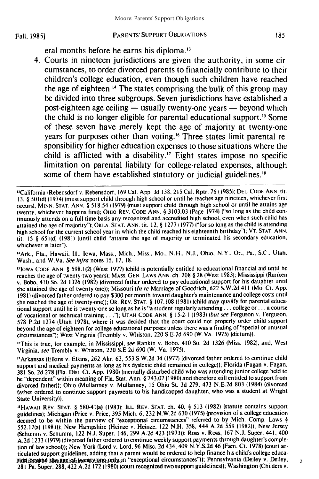eral months before he earns his diploma.<sup>13</sup>

4. Courts in nineteen jurisdictions are given the authority, in some circumstances, to order divorced parents to financially contribute to their children's college education, even though such children have reached the age of eighteen." The states comprising the bulk of this group may be divided into three subgroups. Seven jurisdictions have established a post-eighteen age ceiling **-** usually twenty-one years **-** beyond which the child is no longer eligible for parental educational support.<sup>15</sup> Some of these seven have merely kept the age of majority at twenty-one years for purposes other than voting.'6 Three states limit parental responsibility for higher education expenses to those situations where the child is afflicted with a disability.<sup>17</sup> Eight states impose no specific limitation on parental liability for college-related expenses, although some of them have established statutory or judicial guidelines.<sup>18</sup>

' 4 Ark., Fla., Hawaii, **Ill.,** Iowa, Mass., Mich., Miss., Mo., **N.H., N.J.,** Ohio, N.Y., Or., Pa., S.C., Utah, Wash., and W.Va. *See infra* notes **15,** 17, 18.

<sup>16</sup>This is true, for example, in Mississippi, see Rankin v. Bobo. 410 So. 2d 1326 (Miss. 1982), and, West Virginia, see Trembly v. Whiston, 220 S.E.2d 690 (W. Va. 1975).

"Arkansas (Elkins v. Elkins, 262 Akr. 63, 553 S.W.2d 34 (1977) (divorced father ordered to continue child support and medical payments as long as his dyslexic child remained in college)); Florida (Fagan v. Fagan, 381 So. 2d 278 (Fla. Dist. Ct. **App.** 1980) (mentally disturbed child who was attending junior college held to be "dependent" within meaning of Fla. Stat. Ann. § 743.07 (1980) and therefore still entitled to support from divorced father)); Ohio (Mullanney v. Mullanney, **15** Ohio St. 3d 279, 473 N.E.2d 803 (1984) (divorced father ordered to continue support payments to his handicapped daughter, who was a student at Wright State University)).

'HAwAII REV. **STAT.** § 580-41(a) **(1983);** ILL. REV. **STAT.** ch. 40, § **513** (1982) (statute contains support guidelines); Michigan (Price v. Price, **395** Mich. 6, **232** N.W.2d **630 (1975)** (provision of a college education deemed to be within the purview of "exceptional circumstances" referred to **by** Mich. Comp. Laws § 552.17(a) **(1981));** New Hampshire (Heinze v. Heinze, 122 N.H. 358, 444 A.2d 559 (1982)); New Jersey (Schumm v. Schumm, 122 N.J. Super. 146, 299 **A.2d** 423 **(1973));** Ross v. Ross, **167** N.J. Super. 441, 400 A.2d 1233 **(1979)** (divorced father ordered to continue weekly support payments through daughter's completion of law school)); New York (Lord v. Lord, 96 Misc. 2d 434, 409 N.Y.S.2d 46 (Fam. Ct. 1978) (court articulated support guidelines, adding that a parent would be ordered to help finance his child's college educa-Pion is exond the age lof twenty-pro-only in "exceptional circumstances")); Pennsylvania (Deiley v. Deiley, 281 Pa. Super. 288, 422 A.2d 172 (1980) (court recognized two support guidelines)); Washington (Childers v.

3

<sup>&</sup>quot;California (Rebensdorf v. Rebensdorf, 169 Cal. **App.** 3d 138,215 Cal. Rptr. 76 **(1985); DEL.** CODE ANN. (it. 13, § 501(d) (1974) (must support child through high school or until he reaches age nineteen, whichever first occurs); MINN. STAT. ANN. § 518.54 (1979) (must support child through high school or until he attains age twenty, whichever happens first); OHIO REV. CODE ANN. § 3103.03 (Page 1974) ("so long as the child continuously attends on a full-time basis any recognized and accredited high school, even when such child has attained the age of majority"); OKLA. **STAT.** ANN. tit. 12, § 1277 (1977) ("for so long as the child is attending high school for the current school year in which the child reached his eighteenth birthday"); VT. **STAT.** ANN. tit. **15** § 651(d) (1981) (until child "attains the age of majority or terminated his secondary education, whichever is later").

<sup>&</sup>quot;IOWA CODE ANN. § 598.1(2) (West 1977) (child is potentially entitled to educational financial aid until he reaches the age of twenty-two years); MASS. GEN. LAWS ANN. ch. 208 § 28 (West 1983); Mississippi (Ranken v. Bobo, 410 So. 2d 1326 (1982) (divorced father ordered to pay educational support for his daughter until she attained the age of twenty-one)); Missouri *(In* re Marriage of Goodrich, 622 S.W.2d 411 (Mo. Ct. **App.** 1981) (divorced father ordered to pay \$300 per month toward daughter's maintenance and college costs until she reached the age of twenty-one)); OR. REV. **STAT.** § 107.108 **(1981)** (child may qualify for parental educational support until he is twenty-one so long as he is "a student regularly attending **...** college or **...** a course of vocational or technical training..."); UTAH CODE **ANN.** § 15-2-1 (1983) (but see Ferguson v. Ferguson, 578 P.2d 1274 (Utah 1978), where it was decided that the court could not properly order child support beyond the age of eighteen for college educational purposes unless there was a finding of "special or unusual circumstances"); West Virginia (Trembly v. Whiston, 220 S.E.2d 690 (W.Va. **1975)** (dictum)).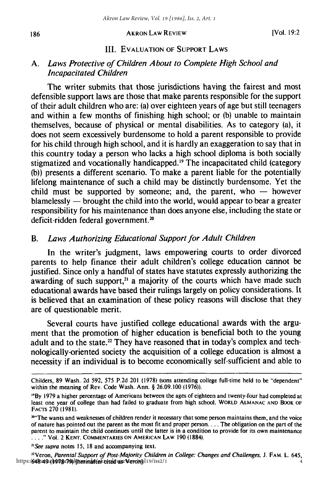## III. EVALUATION OF SUPPORT LAWS

## *A.* Laws Protective of Children About to Complete High School and Incapacitated Children

The writer submits that those jurisdictions having the fairest and most defensible support laws are those that make parents responsible for the support of their adult children who are: (a) over eighteen years of age but still teenagers and within a few months of finishing high school; or (b) unable to maintain themselves, because of physical or mental disabilities. As to category (a), it does not seem excessively burdensome to hold a parent responsible to provide for his child through high school, and it is hardly an exaggeration to say that in this country today a person who lacks a high school diploma is both socially stigmatized and vocationally handicapped.<sup>19</sup> The incapacitated child (category (b)) presents a different scenario. To make a parent liable for the potentially lifelong maintenance of such a child may be distinctly burdensome. Yet the child must be supported by someone; and, the parent, who  $-$  however blamelessly  $-$  brought the child into the world, would appear to bear a greater responsibility for his maintenance than does anyone else, including the state or deficit-ridden federal government.<sup>20</sup>

## *B.* Laws Authorizing Educational Support for Adult Children

In the writer's judgment, laws empowering courts to order divorced parents to help finance their adult children's college education cannot be justified. Since only a handful of states have statutes expressly authorizing the awarding of such support, $2<sup>i</sup>$  a majority of the courts which have made such educational awards have based their rulings largely on policy considerations. It is believed that an examination of these policy reasons will disclose that they are of questionable merit.

Several courts have justified college educational awards with the argument that the promotion of higher education is beneficial both to the young adult and to the state.<sup>22</sup> They have reasoned that in today's complex and technologically-oriented society the acquisition of a college education is almost a necessity if an individual is to become economically self-sufficient and able to

*<sup>2</sup> See supra* notes **15,** 18 and accompanying text.

<sup>22</sup>Veron, *Parental Support of Post-Majority Children in College: Changes and Challenges,* **J.** FAM. L. 645, https:/648-49 (h978-79) herind flek conde vase Veronpl19/iss2/1  $\frac{1}{4}$ 

Childers, 89 Wash. 2d 592, 575 P.2d 201 (1978) (sons attending college full-time held to be "dependent" within the meaning of Rev. Code Wash. Ann. § 26.09.100 (1976)).

**<sup>&</sup>quot;By** 1979 a higher percentage of Americans between the ages of eighteen and twenty-four had completed at least one year of college than had failed to graduate from high school. WORLD **ALMANAC AND** BOOK OF FACTS 270 (1981).

<sup>&</sup>lt;sup>204</sup> The wants and weaknesses of children render it necessary that some person maintains them, and the voice of nature has pointed out the parent as the most fit and proper person.... The obligation on the part of the parent to maintain the child continues until the latter is in a condition to provide for its own maintenance .... "Vol. 2 **KENT. COMMENTARIES ON AMERICAN** LAW 190 (1884).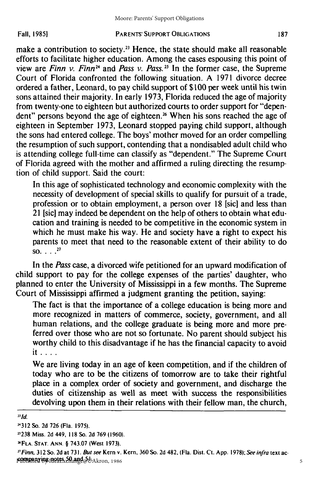#### PARENTS' SUPPORT **OBLIGATIONS**

make a contribution to society.<sup>23</sup> Hence, the state should make all reasonable efforts to facilitate higher education. Among the cases espousing this point of view are *Finn v. Finn<sup>24</sup>* and *Pass v. Pass.*<sup>25</sup> In the former case, the Supreme Court of Florida confronted the following situation. A 1971 divorce decree ordered a father, Leonard, to pay child support of \$100 per week until his twin sons attained their majority. In early 1973, Florida reduced the age of majority from twenty-one to eighteen but authorized courts to order support for "dependent" persons beyond the age of eighteen.<sup>26</sup> When his sons reached the age of eighteen in September 1973, Leonard stopped paying child support, although the sons had entered college. The boys' mother moved for an order compelling the resumption of such support, contending that a nondisabled adult child who is attending college full-time can classify as "dependent." The Supreme Court of Florida agreed with the mother and affirmed a ruling directing the resumption of child support. Said the court:

In this age of sophisticated technology and economic complexity with the necessity of development of special skills to qualify for pursuit of a trade, profession or to obtain employment, a person over 18 [sic] and less than 21 [sic] may indeed be dependent on the help of others to obtain what education and training is needed to be competitive in the economic system in which he must make his way. He and society have a right to expect his parents to meet that need to the reasonable extent of their ability to do  $SO_1$   $\ldots$   $^{27}$ 

In the *Pass* case, a divorced wife petitioned for an upward modification of child support to pay for the college expenses of the parties' daughter, who planned to enter the University of Mississippi in a few months. The Supreme Court of Mississippi affirmed a judgment granting the petition, saying:

The fact is that the importance of a college education is being more and more recognized in matters of commerce, society, government, and all human relations, and the college graduate is being more and more preferred over those who are not so fortunate. No parent should subject his worthy child to this disadvantage if he has the financial capacity to avoid it **.. . .**

We are living today in an age of keen competition, and if the children of today who are to be the citizens of tomorrow are to take their rightful place in a complex order of society and government, and discharge the duties of citizenship as well as meet with success the responsibilities devolving upon them in their relations with their fellow man, the church,

*231d.*

*2'Finn,* **312** So. 2d at **73 1.** *But* see Kern v. Kern, **360** So. 2d 482, (Fla. Dist. Ct. **App. 1978);** See infra text accompanying notes 50 and 5 **1.** Published by IdeaExchange@UAkron, 1986

**<sup>2312</sup>** So. 2d 726 (Fla. 1975).

**<sup>&</sup>quot;238** Miss. 2d **449, 118** So. **2d 769 (1960).**

**<sup>&</sup>quot;FLA. STAT. ANN.** § **743.07 (West 1973).**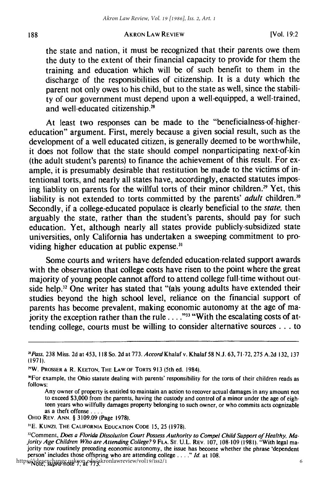the state and nation, it must be recognized that their parents owe them the duty to the extent of their financial capacity to provide for them the training and education which will be of such benefit to them in the discharge of the responsibilities of citizenship. It is a duty which the parent not only owes to his child, but to the state as well, since the stability of our government must depend upon a well-equipped, a well-trained, and well-educated citizenship.<sup>28</sup>

At least two responses can be made to the "beneficialness-of-highereducation" argument. First, merely because a given social result, such as the development of a well educated citizen, is generally deemed to be worthwhile, it does not follow that the state should compel nonparticipating next-of-kin (the adult student's parents) to finance the achievement of this result. For example, it is presumably desirable that restitution be made to the victims of intentional torts, and nearly all states have, accordingly, enacted statutes imposing liablity on parents for the willful torts of their minor children.<sup>29</sup> Yet, this liability is not extended to torts committed by the parents' *adult* children.<sup>30</sup> Secondly, if a college-educated populace is clearly beneficial to the *state*, then arguably the state, rather than the student's parents, should pay for such education. Yet, although nearly all states provide publicly-subsidized state universities, only California has undertaken a sweeping commitment to providing higher education at public expense.<sup>31</sup>

Some courts and writers have defended education-related support awards with the observation that college costs have risen to the point where the great majority of young people cannot afford to attend college full-time without outside help.<sup>32</sup> One writer has stated that "(a)s young adults have extended their studies beyond the high school level, reliance on the financial support of parents has become prevalent, making economic autonomy at the age of majority the exception rather than the rule . . . .<sup>233</sup> "With the escalating costs of attending college, courts must be willing to consider alternative sources **...** to

*<sup>2</sup>*Pass, 238 Miss. 2d at 453, **118** So. 2d at 773. *AccordKhalaf* v. Khalaf 58 N.J. 63, 71-72, 275 A.2d 132, 137 (1971).

<sup>&</sup>quot;W. PROSSER **&** R. **KEETON,** THE LAW OF TORTS 913 (5th ed. 1984).

<sup>&</sup>quot;For example, the Ohio statute dealing with parents' responsibility for the torts of their children reads as follows:

Any owner of property is entitled to maintain an action to recover actual damages in any amount not to exceed \$3,000 from the parents, having the custody and control of a minor under the age of eighteen years who willfully damages property belonging to such owner, or who commits acts cognizable as a theft offense **....**

OHIO REV. ANN. § 3109.09 (Page 1978).

<sup>1</sup>E. KUNzi. THE **CALIFORNIA EDUCATION CODE** 15, 25 **(1978).**

<sup>&</sup>lt;sup>32</sup>Comment, Does a Florida Dissolution Court Possess Authority to Compel Child Support of Healthy, Ma *jority* Age Children Who are Attending College? 9 FLA. **ST.** U.L. REV. 107, 108-109 **(198 1).** "With legal majority now routinely preceding economic autonomy, the issue has become whether the phrase 'dependent person' includes those offspring who are attending college *... ."* **Id.** at 108.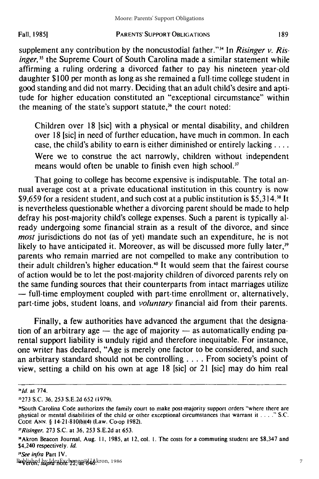supplement any contribution by the noncustodial father."<sup>34</sup> In *Risinger v. Ris*inger,<sup>35</sup> the Supreme Court of South Carolina made a similar statement while affirming a ruling ordering a divorced father to pay his nineteen year-old daughter \$100 per month as long as she remained a full-time college student in good standing and did not marry. Deciding that an adult child's desire and aptitude for higher education constituted an "exceptional circumstance" within the meaning of the state's support statute, $36$  the court noted:

Children over 18 [sic] with a physical or mental disability, and children over 18 [sic] in need of further education, have much in common. In each case, the child's ability to earn is either diminished or entirely lacking .... Were we to construe the act narrowly, children without independent means would often be unable to finish even high school.<sup>37</sup>

That going to college has become expensive is indisputable. The total annual average cost at a private educational institution in this country is now \$9,659 for a resident student, and such cost at a public institution is \$5,314.<sup>38</sup> It is nevertheless questionable whether a divorcing parent should be made to help defray his post-majority child's college expenses. Such a parent is typically already undergoing some financial strain as a result of the divorce, and since *most* jurisdictions do not (as of yet) mandate such an expenditure, he is not likely to have anticipated it. Moreover, as will be discussed more fully later, $39$ parents who remain married are not compelled to make any contribution to their adult children's higher education.<sup>40</sup> It would seem that the fairest course of action would be to let the post-majority children of divorced parents rely on the same funding sources that their counterparts from intact marriages utilize **-** full-time employment coupled with part-time enrollment or, alternatively, part-time jobs, student loans, and *voluntary* financial aid from their parents.

Finally, a few authorities have advanced the argument that the designation of an arbitrary age  $-$  the age of majority  $-$  as automatically ending parental support liability is unduly rigid and therefore inequitable. For instance, one writer has declared, "Age is merely one factor to be considered, and such an arbitrary standard should not be controlling .... From society's point of view, setting a child on his own at age 18 [sic] or 21 [sic] may do him real

*<sup>&</sup>quot;Id.* at 774.

**<sup>11273</sup>** S.C. 36, 253 S.E.2d 652 (1979).

<sup>&</sup>quot;South Carolina Code authorizes the family court to make post-majority support orders "where there are physical or mental disabilities of the child or other exceptional circumstances that warrant it **....** S.C. CODE ANN. **§** 14-21-810(b)(4) (Law. Co-op 1982).

<sup>&</sup>quot;Risinger, 273 S.C. at 36, 253 S.E.2d at 653.

<sup>&</sup>quot;Akron Beacon Journal, Aug. II, 1985, at 12, col. I. The costs for a commuting student are **\$8,347** and \$4,240 respectively. **Id.**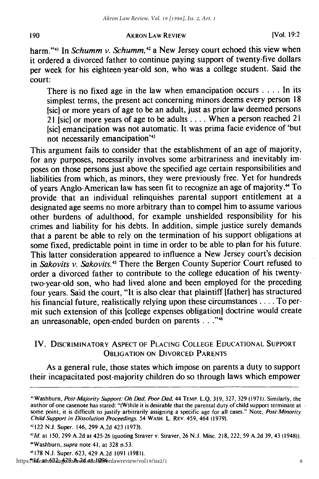## AKRON LAW REVIEW **[Vol. 19:2**

harm."<sup>41</sup> In *Schumm v. Schumm*,<sup>42</sup> a New Jersey court echoed this view when it ordered a divorced father to continue paying support of twenty-five dollars per week for his eighteen-year-old son, who was a college student. Said the court:

There is no fixed age in the law when emancipation occurs . . . . In its simplest terms, the present act concerning minors deems every person 18 [sic] or more years of age to be an adult, just as prior law deemed persons 21 [sic] or more years of age to be adults .... When a person reached 21 [sic] emancipation was not automatic. It was prima facie evidence of 'but not necessarily emancipation'<sup>43</sup>

This argument fails to consider that the establishment of an age of majority, for any purposes, necessarily involves some arbitrariness and inevitably imposes on those persons just above the specified age certain responsibilities and liabilities from which, as minors, they were previously free. Yet for hundreds of years Anglo-American law has seen fit to recognize an age of majority." To provide that an individual relinquishes parental support entitlement at a designated age seems no more arbitrary than to compel him to assume various other burdens of adulthood, for example unshielded responsibility for his crimes and liability for his debts. In addition, simple justice surely demands that a parent be able to rely on the termination of his support obligations at some fixed, predictable point in time in order to be able to plan for his future. This latter consideration appeared to influence a New Jersey court's decision in Sakovits v. Sakovits.<sup>45</sup> There the Bergen County Superior Court refused to order a divorced father to contribute to the college education of his twentytwo-year-old son, who had lived alone and been employed for the preceding four years. Said the court, "It is also clear that plaintiff [father] has structured his financial future, realistically relying upon these circumstances .... To permit such extension of this [college expenses obligation] doctrine would create an unreasonable, open-ended burden on parents **. .**

## IV. DISCRIMINATORY **ASPECT OF PLACING COLLEGE EDUCATIONAL** SUPPORT **OBLIGATION ON** DIVORCED **PARENTS**

As a general rule, those states which impose on parents a duty to support their incapacitated post-majority children do so through laws which empower

<sup>&</sup>quot;Washburn, Post-Majority Support: Oh Dad, Poor Dad, 44 TEMP. L.Q. 319, 327, 329 (1971). Similarly, the author of one casenote has stated: "(W)hile it is desirable that the parental duty of child support terminate at some point, it is difficult to justify arbitrarily assigning a specific age for all cases." Note, Post-Minority Child Support in Dissolution Proceedings, 54 WASH. L. REV. 459, 464 (1979).

<sup>&#</sup>x27;122 N.J. Super. 146, 299 A.2d 423 (1973).

**<sup>&#</sup>x27;lid.** at 150, 299 A.2d at 425-26 (quoting Straver v. Straver, 26 N.J. Misc. 218, 222, 59 A.2d 39, 43 (1948)). "Washburn, supra note 41, at 328 n.53.

**<sup>&</sup>quot;** 178 N.J. Super. 623, 429 A.2d 1091 (1981). https:**?/idea4x6B2ng2HaAr2d.atulQ96**onlawreview/vol19/iss2/1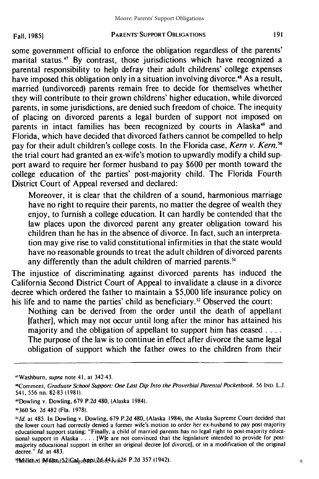#### PARENTS' SUPPORT OBLIGATIONS

some government official to enforce the obligation regardless of the parents' marital status.<sup>47</sup> By contrast, those jurisdictions which have recognized a parental responsibility to help defray their adult childrens' college expenses have imposed this obligation only in a situation involving divorce.'8 As a result, married (undivorced) parents remain free to decide for themselves whether they will contribute to their grown childrens' higher education, while divorced parents, in some jurisdictions, are denied such freedom of choice. The inequity of placing on divorced parents a legal burden of support not imposed on parents in intact families has been recognized by courts in Alaska<sup>49</sup> and Florida, which have decided that divorced fathers cannot be compelled to help pay for their adult children's college costs. In the Florida case, *Kern v. Kern*,<sup>50</sup> the trial court had granted an ex-wife's motion to upwardly modify a child support award to require her former husband to pay \$600 per month toward the college education of the parties' post-majority child. The Florida Fourth District Court of Appeal reversed and declared:

Moreover, it is clear that the children of a sound, harmonious marriage have no right to require their parents, no matter the degree of wealth they enjoy, to furnish a college education. It can hardly be contended that the law places upon the divorced parent any greater obligation toward his children than he has in the absence of divorce. In fact, such an interpretation may give rise to valid constitutional infirmities in that the state would have no reasonable grounds to treat the adult children of divorced parents any differently than the adult children of married parents.<sup>51</sup>

The injustice of discriminating against divorced parents has induced the California Second District Court of Appeal to invalidate a clause in a divorce decree which ordered the father to maintain a \$5,000 life insurance policy on his life and to name the parties' child as beneficiary.<sup>52</sup> Observed the court:

Nothing can be derived from the order until the death of appellant [father], which may not occur until long after the minor has attained his majority and the obligation of appellant to support him has ceased **....** The purpose of the law is to continue in effect after divorce the same legal obligation of support which the father owes to the children from their

<sup>4</sup> <sup>1</sup> Washburn, *supra* note **41,** at 342-43.

<sup>&</sup>quot;t Comment, Graduate School Support: One Last Dip Into the Proverbial Parental Pocketbook. **56** IND. L.J. 541, 556 nn. 82-83 11981).

<sup>&#</sup>x27;Dowling v. Dowling, 679 P.2d 480, (Alaska 1984).

<sup>&</sup>quot;'360 So. 2d 482 (Fla. 1978).

**<sup>&</sup>quot;Id.** at 485. In Dowling v. Dowling, 679 P.2d 480, (Alaska 1984), the Alaska Supreme Court decided that the lower court had correctly denied a former wife's motion to order her ex-husband to pay post-majority educational support stating: "Finally, a child of married parents has no legal right to post-majority educational support in Alaska .... [W]e are not convinced that the legislature intended to provide for postmajority educational support in either an original decree [of divorcel, or in a modification of the original decree." **Id.** at 483.

<sup>&</sup>quot;PMbilished IM ilikra:ES2:IGalge@ppARebA439sl26 P.2d 357 (1942)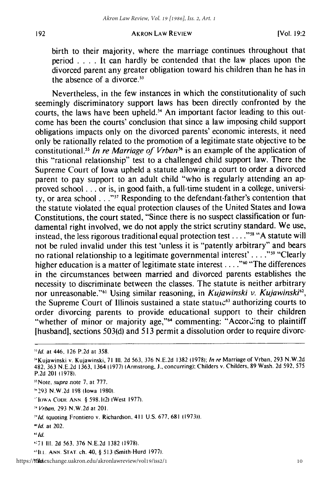birth to their majority, where the marriage continues throughout that period .**. .** .It can hardly be contended that the law places upon the divorced parent any greater obligation toward his children than he has in the absence of a divorce. $53$ 

Nevertheless, in the few instances in which the constitutionality of such seemingly discriminatory support laws has been directly confronted by the courts, the laws have been upheld.<sup>54</sup> An important factor leading to this outcome has been the courts' conclusion that since a law imposing child support obligations impacts only on the divorced parents' economic interests, it need only be rationally related to the promotion of a legitimate state objective to be constitutional. *In re Marriage of Vrban"6* is an example of the application of this "rational relationship" test to a challenged child support law. There the Supreme Court of Iowa upheld a statute allowing a court to order a divorced parent to pay support to an adult child "who is regularly attending an approved school **...** or is, in good faith, a full-time student in a college, university, or area school . . .<sup>"57</sup> Responding to the defendant-father's contention that the statute violated the equal protection clauses of the United States and Iowa Constitutions, the court stated, "Since there is no suspect classification or fundamental right involved, we do not apply the strict scrutiny standard. We use, instead, the less rigorous traditional equal protection test .... **"58** "A statute will not be ruled invalid under this test 'unless it is "patently arbitrary" and bears no rational relationship to a legitimate governmental interest' . . . . "<sup>59</sup> "Clearly higher education is a matter of legitimate state interest . . . .<sup>760</sup> "The differences in the circumstances between married and divorced parents establishes the necessity to discriminate between the classes. The statute is neither arbitrary nor unreasonable.<sup>"61</sup> Using similar reasoning, in *Kujawinski v. Kujawinski<sup>62</sup>*, the Supreme Court of Illinois sustained a state statu $c<sup>63</sup>$  authorizing courts to order divorcing parents to provide educational support to their children "whether of minor or majority age,"<sup>64</sup> commenting: "According to plaintiff [husband], sections  $503(d)$  and  $513$  permit a dissolution order to require divorc-

**" Id.**

*<sup>&</sup>quot;Id.* at 446, **126 P.2d** at 358.

<sup>5</sup> "Kujawinski v. Kujawinski, 71 **111.** 2d 563, 376 N.E.2d 1382 (1978); In re Marriage of Vrban, 293 N.W.2d 482, 363 N.E.2d 1363, 1364 (1977) (Armstrong, J., concurring): Childers v. Childers, 89 Wash. 2d 592, 575 P.2d 201 11978).

<sup>&</sup>lt;sup>55</sup>Note, *supra* note 7, at 777.

<sup>5&</sup>quot;293 N.W.2d 198 (Iowa 1980).

<sup>&#</sup>x27;IOWA **COD. ANN** § 598.1(2) (West 1977).

*<sup>51</sup>* Vrban. 293 N.W.2d at 201.

**<sup>&#</sup>x27;Id.** (quoting Frontiero v. Richardson, 411 U.S. 677, **681** (1973)).

*<sup>1</sup>id.* at 202.

**<sup>:71</sup>** III. 2d 563, 376 N.E.2d 1382 (1978).

**<sup>&</sup>quot;lA. ANN.** STAT ch. 40, § 513 (Smith-Hurd **1977).**

https://ttkaexchange.uakron.edu/akronlawreview/vol19/iss2/1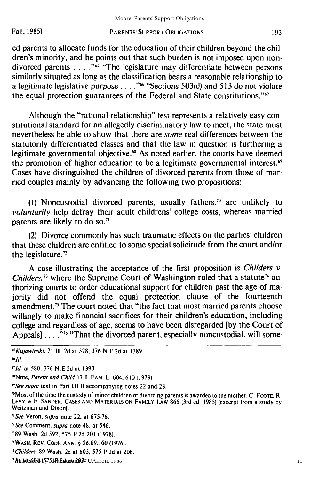ed parents to allocate funds for the education of their children beyond the children's minority, and he points out that such burden is not imposed upon nondivorced parents . . . . "<sup>65</sup> "The legislature may differentiate between persons similarly situated as long as the classification bears a reasonable relationship to a legitimate legislative purpose . **. . ."'** "Sections 503(d) and *513* do not violate the equal protection guarantees of the Federal and State constitutions."<sup>67</sup>

Although the "rational relationship" test represents a relatively easy constitutional standard for an allegedly discriminatory law to meet, the state must nevertheless be able to show that there are some real differences between the statutorily differentiated classes and that the law in question is furthering a legitimate governmental objective.<sup>68</sup> As noted earlier, the courts have deemed the promotion of higher education to be a legitimate governmental interest.<sup>69</sup> Cases have distinguished the children of divorced parents from those of married couples mainly by advancing the following two propositions:

(1) Noncustodial divorced parents, usually fathers,<sup>70</sup> are unlikely to *voluntarily* help defray their adult childrens' college costs, whereas married parents are likely to do so.<sup>71</sup>

(2) Divorce commonly has such traumatic effects on the parties' children that these children are entitled to some special solicitude from the court and/or the legislature.<sup>72</sup>

A case illustrating the acceptance of the first proposition is *Childers v. Childers*,<sup>73</sup> where the Supreme Court of Washington ruled that a statute<sup>74</sup> authorizing courts to order educational support for children past the age of majority did not offend the equal protection clause of the fourteenth amendment." The court noted that "the fact that most married parents choose willingly to make financial sacrifices for their children's education, including college and regardless of age, seems to have been disregarded [by the Court of Appeals] .... **"76** "That the divorced parent, especially noncustodial, will some-

*" Id.*

- "189 Wash. 2d 592, 575 P.2d 201 (1978).
- "WASH. REV. CODE ANN. § 26.09.100 **(1976).**

*"Childers,* **89** Wash. 2d at 603, 575 P.2d at **208.**

*<sup>&#</sup>x27;Kujawinski,* **71 Ill.** 2d at 578, **376** N.E.2d at 1389.

**<sup>6&</sup>quot;1d.** at 580, 376 N.E.2d at 1390.

<sup>&</sup>quot;Note, *Parent and Child* 17 **J.** FAM. L. 604, 610 (1979).

*<sup>&</sup>quot;See supra* text in Part **Ill** B accompanying notes 22 and 23.

<sup>&</sup>quot;Most of the time the custody of minor children of divorcing parents is awarded to the mother. C. **FOOTE.** R. LEVY, **&** F. **SANDER,** CASES **AND** MATERIALS **ON** FAMILY LAW 866 (3rd ed. 1985) (excerpt from a study **by** Weitzman and Dixon).

*<sup>&</sup>quot;See* Veron, *supra* note 22, at 675-76.

*<sup>&</sup>quot;See* Comment, *supra* note 48, at 546.

**<sup>&</sup>quot;**Mulalis**6Q**ll, b57 bdPa**Pdchta20**7@UAkron, 1986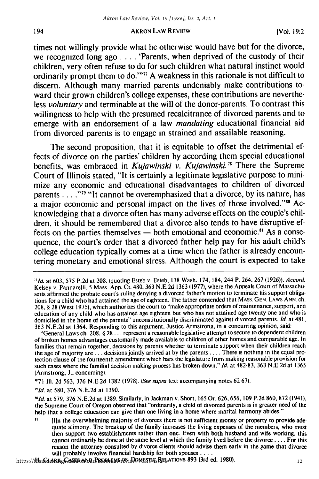times not willingly provide what he otherwise would have but for the divorce, we recognized long ago **. . . .** 'Parents, when deprived of the custody of their children, very often refuse to do for such children what natural instinct would ordinarily prompt them to do.""' 7 **A** weakness in this rationale is not difficult to discern. Although many married parents undeniably make contributions toward their grown children's college expenses, these contributions are nevertheless voluntary and terminable at the will of the donor-parents. To contrast this willingness to help with the presumed recalcitrance of divorced parents and to emerge with an endorsement of a law mandating educational financial aid from divorced parents is to engage in strained and assailable reasoning.

The second proposition, that it is equitable to offset the detrimental effects of divorce on the parties' children **by** according them special educational benefits, was embraced in *Kujawinski v. Kujawinski.78* There the Supreme Court of Illinois stated, "It is certainly a legitimate legislative purpose to minimize any economic and educational disadvantages to children of divorced parents . . . . <sup>"79</sup> "It cannot be overemphasized that a divorce, by its nature, has a major economic and personal impact on the lives of those involved."<sup>80</sup> Acknowledging that a divorce often has many adverse effects on the couple's children, it should be remembered that a divorce also tends to have disruptive effects on the parties themselves **-** both emotional and economic." As a consequence, the court's order that a divorced father help pay for his adult child's college education typically comes at a time when the father is already encountering monetary and emotional stress. Although the court is expected to take

T71 **Ill.** 2d 563, 376 N.E.2d 1382 (1978). (See supra text accompanying notes 62-67).

**"Id.** at 580, 376 N.E.2d at 1390.

194

*'id* at 579, 376 N.E.2d at 1389. Similarly, in Jackman v. Short, 165 Or. 626, 656, 109 P.2d 860, 872 (1941), the Supreme Court of Oregon observed that "ordinarily, a child of divorced parents is in greater need of the help that a college education can give than one living in a home where marital harmony abides."

https://**ideaEt.chrikgC.aSESoa.NUUPRiQiBLEIMS.@Ni.DQMBSTJG<sub>S</sub>RELATIONS 893 (3rd ed. 1980)** 

**<sup>&</sup>quot;Id.** at **603,** 575 P.2d at 208. (quoting Esteb v. Esteb, **138** Wash. 174, 184, 244 P. 264, **267** (1926)). Accord, Kelsey v. Pannarelli, 5 Mass. App. Ct. 480, 363 N.E.2d 1363 (1977), where the Appeals Court of Massachusetts affirmed the probate court's ruling denying a divorced father's motion to terminate his support obligations for a child who had attained the age of eighteen. The father contended that MASS. GEN. LAWS ANN. ch. 208, § 28 (West 1975), which authorizes the court to "make appropriate orders of maintenance, support, and education of any child who has attained age eighteen but who has not attained age twenty-one and who is domiciled in the home of the parents" unconstitutionally discriminated against divorced parents. **Id.** at 481, 363 N.E.2d at 1364. Responding to this argument, Justice Armstrong, in a concurring opinion, said:

<sup>&</sup>quot;General Laws ch. 208, § 28... represent a reasonable legislative attempt to secure to dependent children of broken homes advantages customarily made available to children of other homes and comparable age. In families that remain together, decisions by parents whether to terminate support when their children reach the age of majority are **...** decisions jointly arrived at by the parents .... There is nothing in the equal protection clause of the fourteenth amendment which bars the legislature from making reasonable provision for such cases where the familial decision making process has broken down." **Id.** at 482-83, 363 N.E.2d at 1365 (Armstrong, **J.,** concurring).

 $\mathbf{a}$ [lin the overwhelming majority of divorces there is not sufficient money or property to provide adequate alimony. The breakup of the family increases the living expenses of the members, who must then support two establishments rather than one. Even with both husband and wife working, this cannot ordinarily be done at the same level at which the family lived before the divorce **....** For this reason the attorney consulted by divorce clients should advise them early in the game that divorce will probably involve financial hardship for both spouses ....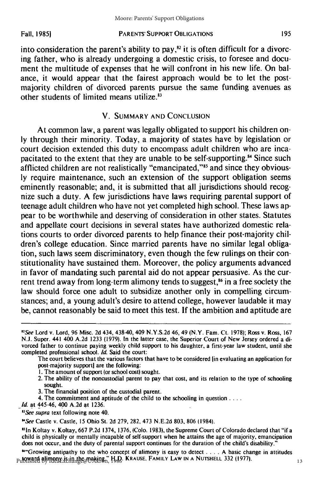Fall, **1985)**

#### PARENTS' SUPPORT **OBLIGATIONS**

into consideration the parent's ability to pay, $s<sup>2</sup>$  it is often difficult for a divorcing father, who is already undergoing a domestic crisis, to foresee and document the multitude of expenses that he will confront in his new life. On balance, it would appear that the fairest approach would be to let the postmajority children of divorced parents pursue the same funding avenues as other students of limited means utilize.<sup>83</sup>

## V. SUMMARY **AND** CONCLUSION

At common law, a parent was legally obligated to support his children only through their minority. Today, a majority of states have by legislation or court decision extended this duty to encompass adult children who are incapacitated to the extent that they are unable to be self-supporting.<sup>84</sup> Since such afflicted children are not realistically "emancipated,"<sup>85</sup> and since they obviously require maintenance, such an extension of the support obligation seems eminently reasonable; and, it is submitted that all jurisdictions should recognize such a duty. A few jurisdictions have laws requiring parental support of teenage adult children who have not yet completed high school. These laws appear to be worthwhile and deserving of consideration in other states. Statutes and appellate court decisions in several states have authorized domestic relations courts to order divorced parents to help finance their post-majority children's college education. Since married parents have no similar legal obligation, such laws seem discriminatory, even though the few rulings on their constitutionality have sustained them. Moreover, the policy arguments advanced in favor of mandating such parental aid do not appear persuasive. As the current trend away from long-term alimony tends to suggest, $\alpha$  in a free society the law should force one adult to subsidize another only in compelling circumstances; and, a young adult's desire to attend college, however laudable it may be, cannot reasonably be said to meet this test. If the ambition and aptitude are

The court believes that the various factors that have to be considered [in evaluating an application for post-majority support] are the following:

- **1.** The amount of support (or school cost) sought.
- 2. The ability of the noncustodial parent to pay that cost, and its relation to the type of schooling sought.
- 3. The financial position of the custodial parent.
- 4. The commitment and aptitude of the child to the schooling in question **....**
- *Id.* at 445-46, 400 A.2d at 1236.

*83See supra* text following note 40.

*"See* Castle v. Castle, 15 Ohio St. 2d 279, 282, 473 N.E.2d 803, **806** (1984).

"in Koltay v. Koltay, 667 P.2d 1374, 1376, (Colo. 1983), the Supreme Court of Colorado declared that "if a child is physically or mentally incapable of self-support when he attains the age of majority, emancipation does not occur, and the duty of parental support continues for the duration of the child's disability.

"\*"Growing antipathy to the who concept of alimony is easy to detect **....** A basic change in attitudes Published by Thear is in the making." H.D. KRAUSE. FAMILY LAW IN A NUTSHELL 332 (1977)

195

*<sup>2</sup> See* Lord v. Lord, 96 Misc. **2d** 434, 438-40, 409 N.Y.S.2d 46, 49 (N.Y. Fam. Ct. 1978); Ross v. Ross, 167 N.J. Super. 441 400 A.2d 1233 (1979). In the latter case, the Superior Court of New Jersey ordered a divorced father to continue paying weekly child support to his daughter, a first-year law student, until she completed professional school. *Id.* Said the court: